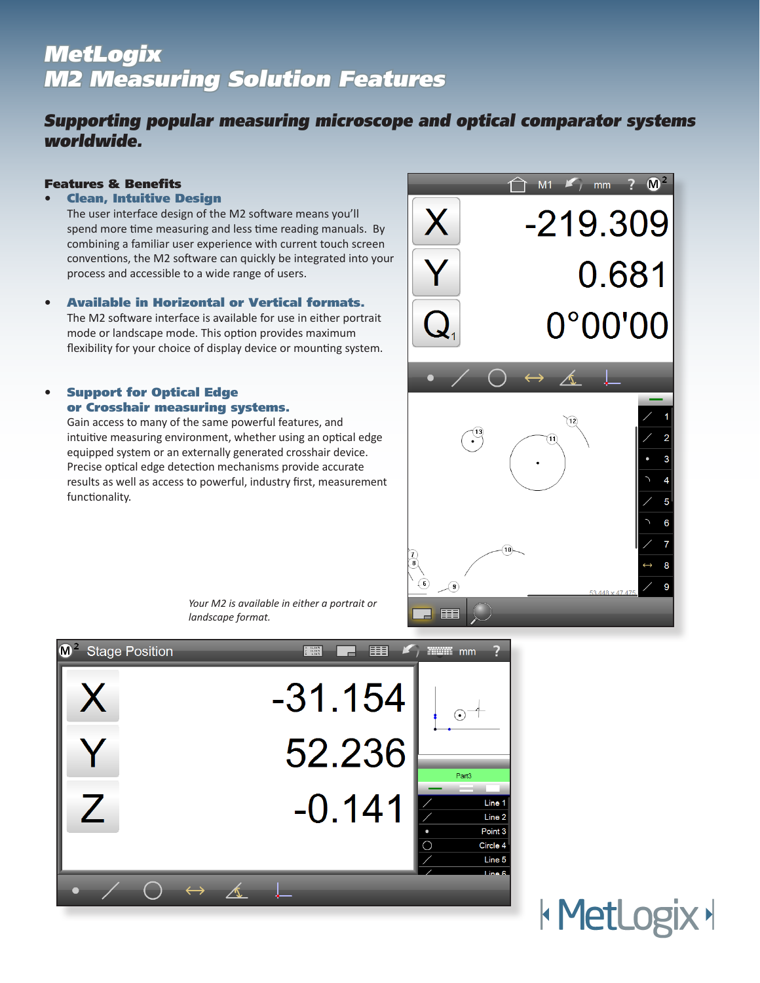# **MetLogix** M2 Measuring Solution Features

# Supporting popular measuring microscope and optical comparator systems worldwide.

# Features & Benefits

# • Clean, Intuitive Design

The user interface design of the M2 software means you'll spend more time measuring and less time reading manuals. By combining a familiar user experience with current touch screen conventions, the M2 software can quickly be integrated into your process and accessible to a wide range of users.

• Available in Horizontal or Vertical formats. The M2 software interface is available for use in either portrait mode or landscape mode. This option provides maximum flexibility for your choice of display device or mounting system.

# • Support for Optical Edge or Crosshair measuring systems.

Gain access to many of the same powerful features, and intuitive measuring environment, whether using an optical edge equipped system or an externally generated crosshair device. Precise optical edge detection mechanisms provide accurate results as well as access to powerful, industry first, measurement functionality.



*Your M2 is available in either a portrait or landscape format.*



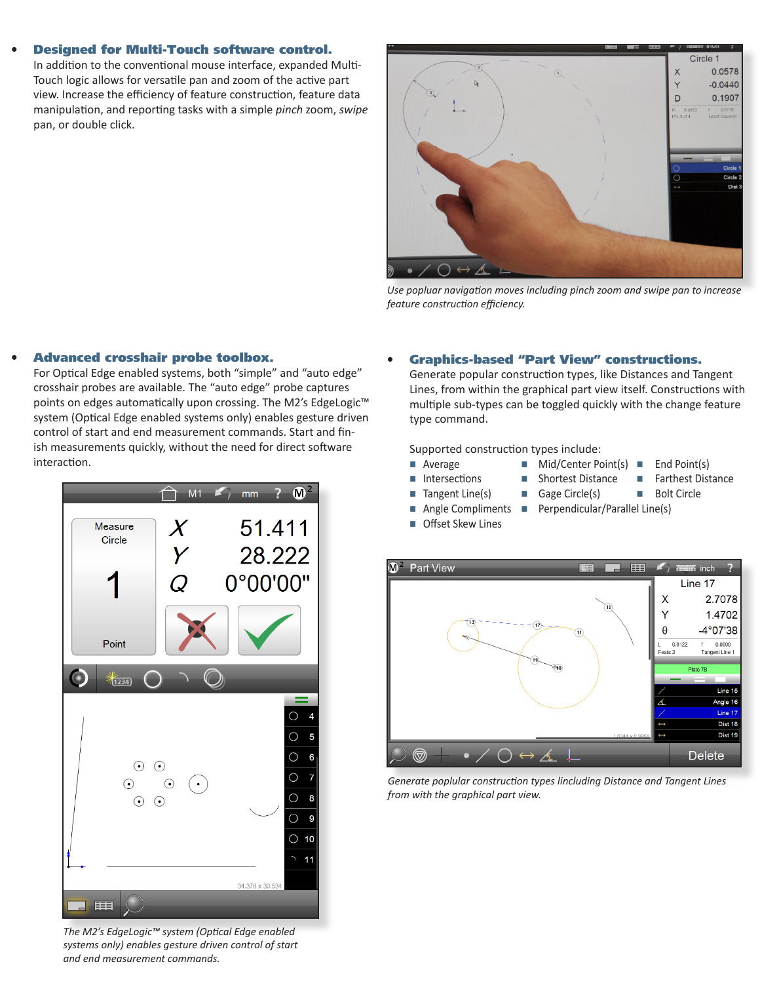#### • Designed for Multi-Touch software control.

In addition to the conventional mouse interface, expanded Multi-Touch logic allows for versatile pan and zoom of the active part view. Increase the efficiency of feature construction, feature data manipulation, and reporting tasks with a simple *pinch* zoom, *swipe*  pan, or double click.



*Use popluar navigation moves including pinch zoom and swipe pan to increase feature construction efficiency.*

### • Advanced crosshair probe toolbox.

For Optical Edge enabled systems, both "simple" and "auto edge" crosshair probes are available. The "auto edge" probe captures points on edges automatically upon crossing. The M2's EdgeLogic<sup>™</sup> system (Optical Edge enabled systems only) enables gesture driven control of start and end measurement commands. Start and finish measurements quickly, without the need for direct software interaction.



*The M2's EdgeLogic™ system (Optical Edge enabled systems only) enables gesture driven control of start and end measurement commands.* 

# • Graphics-based "Part View" constructions.

Generate popular construction types, like Distances and Tangent Lines, from within the graphical part view itself. Constructions with multiple sub-types can be toggled quickly with the change feature type command.

Supported construction types include:

- $\blacksquare$  Average  $\blacksquare$  Mid/Center Point(s)  $\blacksquare$  End Point(s)
	-
- Intersections Shortest Distance Farthest Distance
- -
- 
- Tangent Line(s)  $\blacksquare$  Gage Circle(s)  $\blacksquare$  Bolt Circle
	-
- 
- 
- Offset Skew Lines
- Angle Compliments **n** Perpendicular/Parallel Line(s)
	-



*Generate poplular construction types lincluding Distance and Tangent Lines from with the graphical part view.*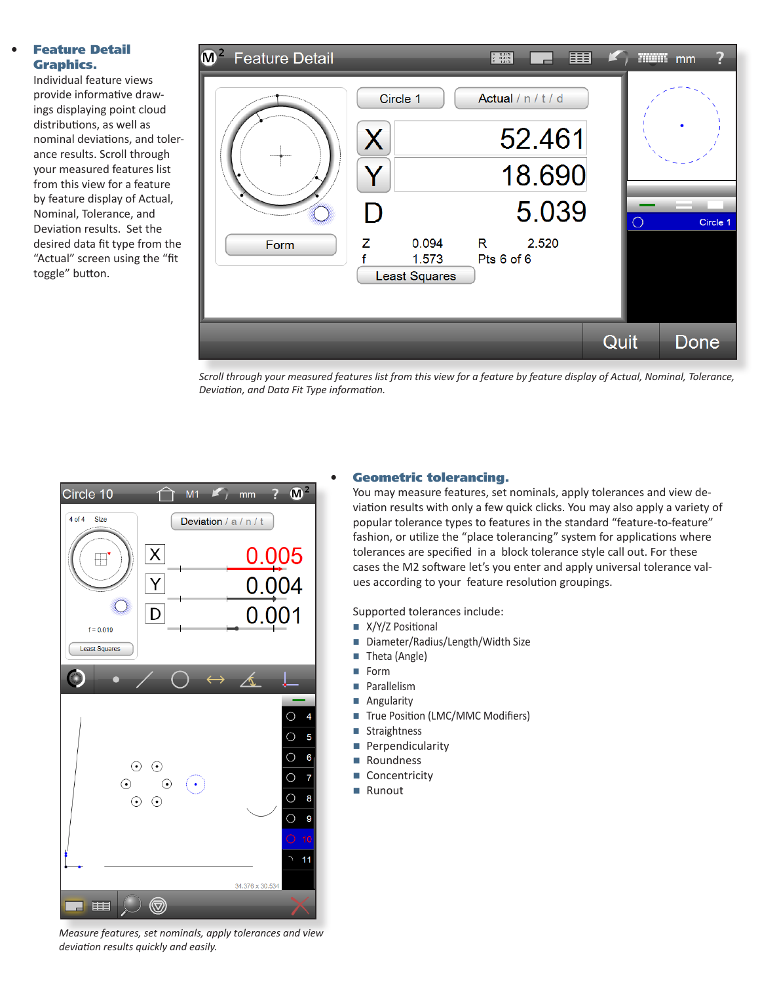# **Feature Detail** Graphics.

Individual feature views provide informative drawings displaying point cloud distributions, as well as nominal deviations, and tolerance results. Scroll through your measured features list from this view for a feature by feature display of Actual, Nominal, Tolerance, and Deviation results. Set the desired data fit type from the "Actual" screen using the "fit toggle" button.

| $\mathsf{M}^2$<br><b>Feature Detail</b> |                                                                         | $\begin{array}{r@{\hspace{1em}}c@{\hspace{1em}}c@{\hspace{1em}}c@{\hspace{1em}}c@{\hspace{1em}}c@{\hspace{1em}}c@{\hspace{1em}}c@{\hspace{1em}}c@{\hspace{1em}}c@{\hspace{1em}}c@{\hspace{1em}}c@{\hspace{1em}}c@{\hspace{1em}}c@{\hspace{1em}}c@{\hspace{1em}}c@{\hspace{1em}}c@{\hspace{1em}}c@{\hspace{1em}}c@{\hspace{1em}}c@{\hspace{1em}}c@{\hspace{1em}}c@{\hspace{1em}}c@{\hspace{1em}}c@{\hspace{1em$ |      | <b>WHEEL</b> | mm       |
|-----------------------------------------|-------------------------------------------------------------------------|----------------------------------------------------------------------------------------------------------------------------------------------------------------------------------------------------------------------------------------------------------------------------------------------------------------------------------------------------------------------------------------------------------------|------|--------------|----------|
| Form                                    | Circle 1<br>X<br>I)<br>z<br>0.094<br>£<br>1.573<br><b>Least Squares</b> | Actual / n / t / d<br>52.461<br>18.690<br>5.039<br>2.520<br>R<br>Pts 6 of 6                                                                                                                                                                                                                                                                                                                                    |      | $\bigcirc$   | Circle 1 |
|                                         |                                                                         |                                                                                                                                                                                                                                                                                                                                                                                                                | Quit |              | Done     |

*Scroll through your measured features list from this view for a feature by feature display of Actual, Nominal, Tolerance, Deviation, and Data Fit Type information.*



#### *Measure features, set nominals, apply tolerances and view deviation results quickly and easily.*

# Geometric tolerancing.

You may measure features, set nominals, apply tolerances and view deviation results with only a few quick clicks. You may also apply a variety of popular tolerance types to features in the standard "feature-to-feature" fashion, or utilize the "place tolerancing" system for applications where tolerances are specified in a block tolerance style call out. For these cases the M2 software let's you enter and apply universal tolerance values according to your feature resolution groupings.

Supported tolerances include:

- $X/Y/Z$  Positional
- Diameter/Radius/Length/Width Size
- $\blacksquare$  Theta (Angle)
- **n** Form
- **n** Parallelism
- Angularity
- True Position (LMC/MMC Modifiers)
- Straightness
- **Perpendicularity**
- Roundness
- Concentricity
- Runout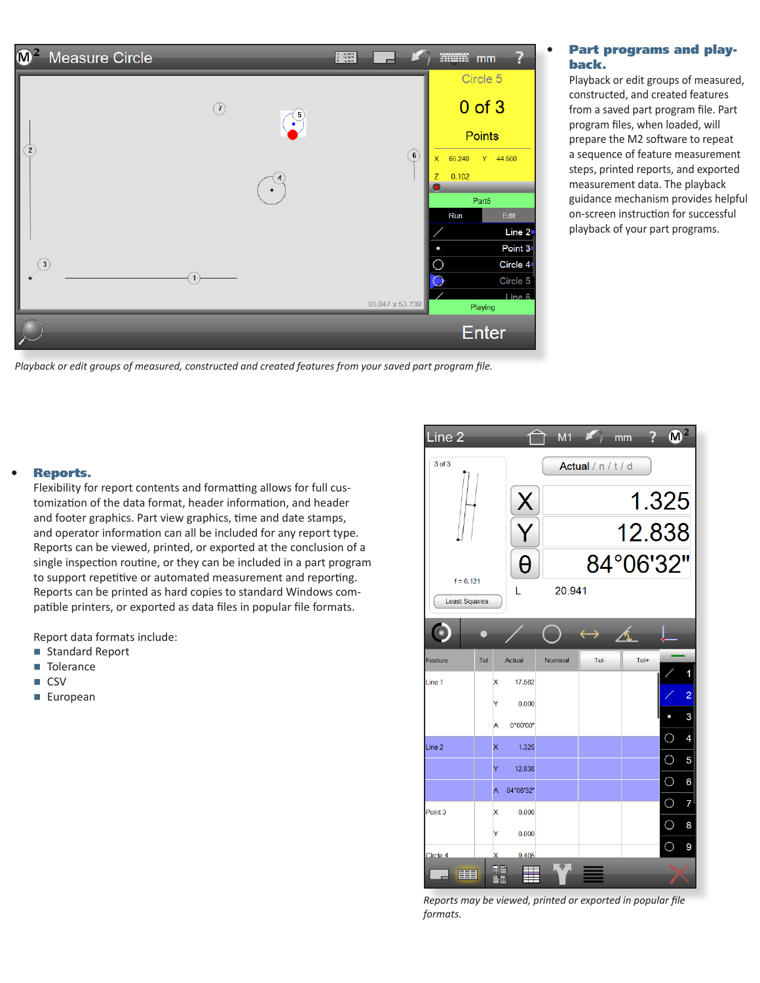

*Playback or edit groups of measured, constructed and created features from your saved part program file.*

# • Part programs and playback.

Playback or edit groups of measured, constructed, and created features from a saved part program file. Part program files, when loaded, will prepare the M2 software to repeat a sequence of feature measurement steps, printed reports, and exported measurement data. The playback guidance mechanism provides helpful on-screen instruction for successful playback of your part programs.

# Reports.

Flexibility for report contents and formatting allows for full customization of the data format, header information, and header and footer graphics. Part view graphics, time and date stamps, and operator information can all be included for any report type. Reports can be viewed, printed, or exported at the conclusion of a single inspection routine, or they can be included in a part program to support repetitive or automated measurement and reporting. Reports can be printed as hard copies to standard Windows compatible printers, or exported as data files in popular file formats.

Report data formats include:

- Standard Report
- **n** Tolerance
- n CSV
- European



*Reports may be viewed, printed or exported in popular file formats.*